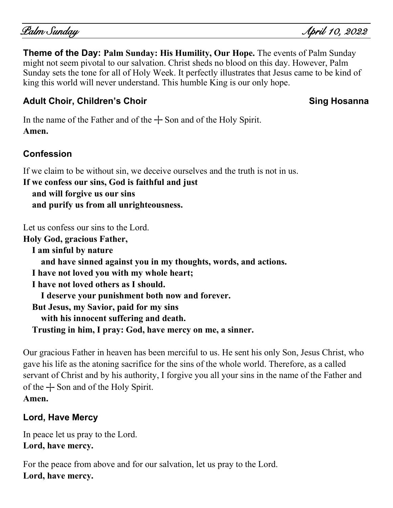**Theme of the Day: Palm Sunday: His Humility, Our Hope.** The events of Palm Sunday might not seem pivotal to our salvation. Christ sheds no blood on this day. However, Palm Sunday sets the tone for all of Holy Week. It perfectly illustrates that Jesus came to be kind of king this world will never understand. This humble King is our only hope.

# Adult Choir, Children's Choir Show Sing Hosanna

In the name of the Father and of the  $+$  Son and of the Holy Spirit. **Amen.**

# **Confession**

If we claim to be without sin, we deceive ourselves and the truth is not in us.

**If we confess our sins, God is faithful and just and will forgive us our sins and purify us from all unrighteousness.**

Let us confess our sins to the Lord.

**Holy God, gracious Father, I am sinful by nature and have sinned against you in my thoughts, words, and actions. I have not loved you with my whole heart; I have not loved others as I should. I deserve your punishment both now and forever. But Jesus, my Savior, paid for my sins with his innocent suffering and death. Trusting in him, I pray: God, have mercy on me, a sinner.**

Our gracious Father in heaven has been merciful to us. He sent his only Son, Jesus Christ, who gave his life as the atoning sacrifice for the sins of the whole world. Therefore, as a called servant of Christ and by his authority, I forgive you all your sins in the name of the Father and of the  $+$  Son and of the Holy Spirit. **Amen.**

# **Lord, Have Mercy**

In peace let us pray to the Lord. **Lord, have mercy.**

For the peace from above and for our salvation, let us pray to the Lord. **Lord, have mercy.**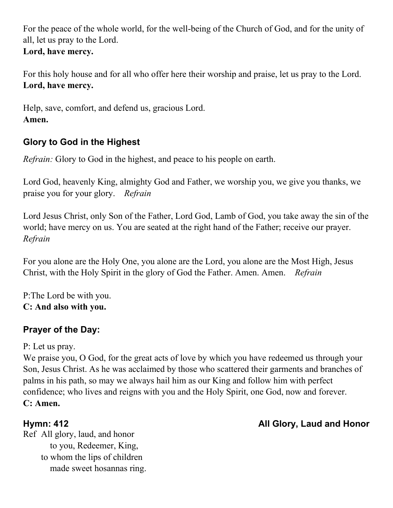For the peace of the whole world, for the well-being of the Church of God, and for the unity of all, let us pray to the Lord. **Lord, have mercy.**

For this holy house and for all who offer here their worship and praise, let us pray to the Lord. **Lord, have mercy.**

Help, save, comfort, and defend us, gracious Lord. **Amen.**

# **Glory to God in the Highest**

*Refrain:* Glory to God in the highest, and peace to his people on earth.

Lord God, heavenly King, almighty God and Father, we worship you, we give you thanks, we praise you for your glory. *Refrain*

Lord Jesus Christ, only Son of the Father, Lord God, Lamb of God, you take away the sin of the world; have mercy on us. You are seated at the right hand of the Father; receive our prayer. *Refrain*

For you alone are the Holy One, you alone are the Lord, you alone are the Most High, Jesus Christ, with the Holy Spirit in the glory of God the Father. Amen. Amen. *Refrain*

P:The Lord be with you. **C: And also with you.**

# **Prayer of the Day:**

P: Let us pray.

We praise you, O God, for the great acts of love by which you have redeemed us through your Son, Jesus Christ. As he was acclaimed by those who scattered their garments and branches of palms in his path, so may we always hail him as our King and follow him with perfect confidence; who lives and reigns with you and the Holy Spirit, one God, now and forever. **C: Amen.**

Ref All glory, laud, and honor to you, Redeemer, King, to whom the lips of children made sweet hosannas ring.

# **Hymn: 412 All Glory, Laud and Honor**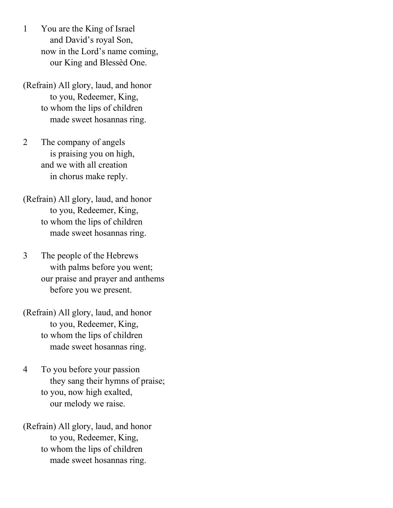- 1 You are the King of Israel and David's royal Son, now in the Lord's name coming, our King and Blessèd One.
- (Refrain) All glory, laud, and honor to you, Redeemer, King, to whom the lips of children made sweet hosannas ring.
- 2 The company of angels is praising you on high, and we with all creation in chorus make reply.
- (Refrain) All glory, laud, and honor to you, Redeemer, King, to whom the lips of children made sweet hosannas ring.
- 3 The people of the Hebrews with palms before you went; our praise and prayer and anthems before you we present.

(Refrain) All glory, laud, and honor to you, Redeemer, King, to whom the lips of children made sweet hosannas ring.

4 To you before your passion they sang their hymns of praise; to you, now high exalted, our melody we raise.

(Refrain) All glory, laud, and honor to you, Redeemer, King, to whom the lips of children made sweet hosannas ring.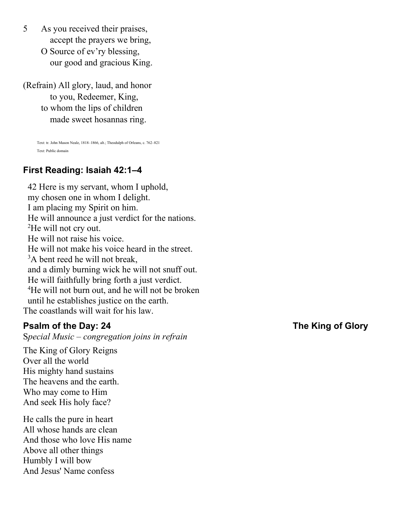- 5 As you received their praises, accept the prayers we bring, O Source of ev'ry blessing,
	- our good and gracious King.

(Refrain) All glory, laud, and honor to you, Redeemer, King, to whom the lips of children made sweet hosannas ring.

Text: tr. John Mason Neale, 1818–1866, alt.; Theodulph of Orleans, c. 762–821 Text: Public domain

## **First Reading: Isaiah 42:1–4**

42 Here is my servant, whom I uphold, my chosen one in whom I delight. I am placing my Spirit on him. He will announce a just verdict for the nations. <sup>2</sup>He will not cry out. He will not raise his voice. He will not make his voice heard in the street. <sup>3</sup>A bent reed he will not break, and a dimly burning wick he will not snuff out. He will faithfully bring forth a just verdict. <sup>4</sup>He will not burn out, and he will not be broken until he establishes justice on the earth. The coastlands will wait for his law.

#### **Psalm of the Day: 24****The King of Glory**

S*pecial Music* – *congregation joins in refrain*

The King of Glory Reigns Over all the world His mighty hand sustains The heavens and the earth. Who may come to Him And seek His holy face?

He calls the pure in heart All whose hands are clean And those who love His name Above all other things Humbly I will bow And Jesus' Name confess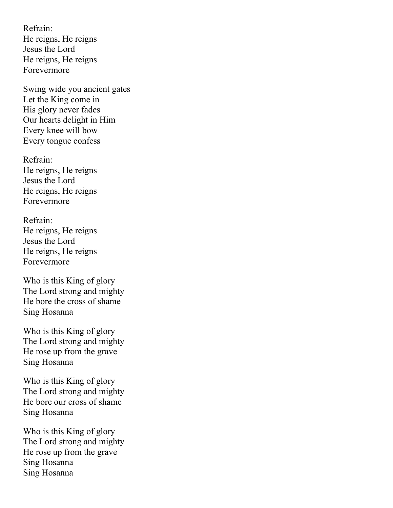Refrain: He reigns, He reigns Jesus the Lord He reigns, He reigns Forevermore

Swing wide you ancient gates Let the King come in His glory never fades Our hearts delight in Him Every knee will bow Every tongue confess

Refrain: He reigns, He reigns Jesus the Lord He reigns, He reigns Forevermore

Refrain: He reigns, He reigns Jesus the Lord He reigns, He reigns Forevermore

Who is this King of glory The Lord strong and mighty He bore the cross of shame Sing Hosanna

Who is this King of glory The Lord strong and mighty He rose up from the grave Sing Hosanna

Who is this King of glory The Lord strong and mighty He bore our cross of shame Sing Hosanna

Who is this King of glory The Lord strong and mighty He rose up from the grave Sing Hosanna Sing Hosanna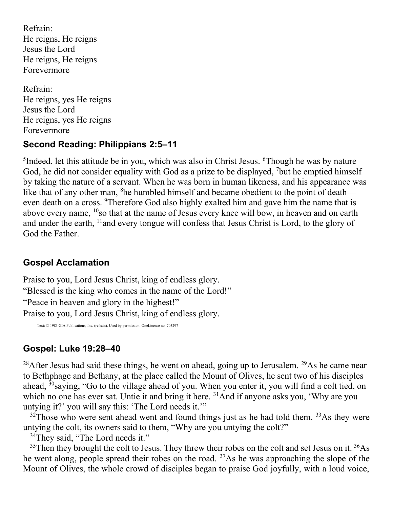Refrain: He reigns, He reigns Jesus the Lord He reigns, He reigns Forevermore

Refrain: He reigns, yes He reigns Jesus the Lord He reigns, yes He reigns Forevermore

#### **Second Reading: Philippians 2:5–11**

<sup>5</sup>Indeed, let this attitude be in you, which was also in Christ Jesus. <sup>6</sup>Though he was by nature God, he did not consider equality with God as a prize to be displayed, <sup>7</sup>but he emptied himself by taking the nature of a servant. When he was born in human likeness, and his appearance was like that of any other man, <sup>8</sup>he humbled himself and became obedient to the point of death even death on a cross. <sup>9</sup>Therefore God also highly exalted him and gave him the name that is above every name, <sup>10</sup>so that at the name of Jesus every knee will bow, in heaven and on earth and under the earth, <sup>11</sup> and every tongue will confess that Jesus Christ is Lord, to the glory of God the Father.

## **Gospel Acclamation**

Praise to you, Lord Jesus Christ, king of endless glory. "Blessed is the king who comes in the name of the Lord!" "Peace in heaven and glory in the highest!" Praise to you, Lord Jesus Christ, king of endless glory.

Text: © 1983 GIA Publications, Inc. (refrain). Used by permission: OneLicense no. 703297

## **Gospel: Luke 19:28–40**

<sup>28</sup>After Jesus had said these things, he went on ahead, going up to Jerusalem. <sup>29</sup>As he came near to Bethphage and Bethany, at the place called the Mount of Olives, he sent two of his disciples ahead, <sup>30</sup>saying, "Go to the village ahead of you. When you enter it, you will find a colt tied, on which no one has ever sat. Untie it and bring it here. <sup>31</sup>And if anyone asks you, 'Why are you untying it?' you will say this: 'The Lord needs it.'"

 $32$ Those who were sent ahead went and found things just as he had told them.  $33$ As they were untying the colt, its owners said to them, "Why are you untying the colt?"

<sup>34</sup>They said, "The Lord needs it."

 $35$ Then they brought the colt to Jesus. They threw their robes on the colt and set Jesus on it.  $36\text{As}$ he went along, people spread their robes on the road. <sup>37</sup>As he was approaching the slope of the Mount of Olives, the whole crowd of disciples began to praise God joyfully, with a loud voice,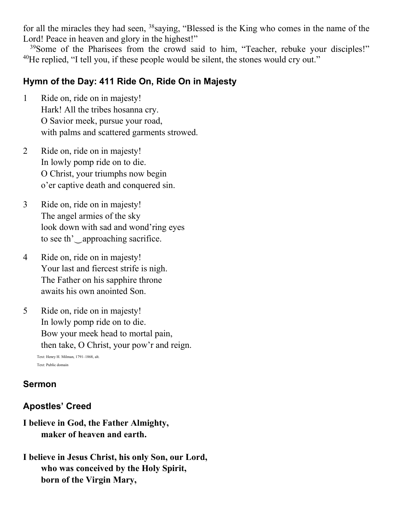for all the miracles they had seen,  $38$  saying, "Blessed is the King who comes in the name of the Lord! Peace in heaven and glory in the highest!"

<sup>39</sup>Some of the Pharisees from the crowd said to him, "Teacher, rebuke your disciples!"  $40$ He replied, "I tell you, if these people would be silent, the stones would cry out."

### **Hymn of the Day: 411 Ride On, Ride On in Majesty**

- 1 Ride on, ride on in majesty! Hark! All the tribes hosanna cry. O Savior meek, pursue your road, with palms and scattered garments strowed.
- 2 Ride on, ride on in majesty! In lowly pomp ride on to die. O Christ, your triumphs now begin o'er captive death and conquered sin.
- 3 Ride on, ride on in majesty! The angel armies of the sky look down with sad and wond'ring eyes to see th'‿approaching sacrifice.
- 4 Ride on, ride on in majesty! Your last and fiercest strife is nigh. The Father on his sapphire throne awaits his own anointed Son.
- 5 Ride on, ride on in majesty! In lowly pomp ride on to die. Bow your meek head to mortal pain, then take, O Christ, your pow'r and reign.

Text: Henry H. Milman, 1791–1868, alt. Text: Public domain

#### **Sermon**

#### **Apostles' Creed**

- **I believe in God, the Father Almighty, maker of heaven and earth.**
- **I believe in Jesus Christ, his only Son, our Lord, who was conceived by the Holy Spirit, born of the Virgin Mary,**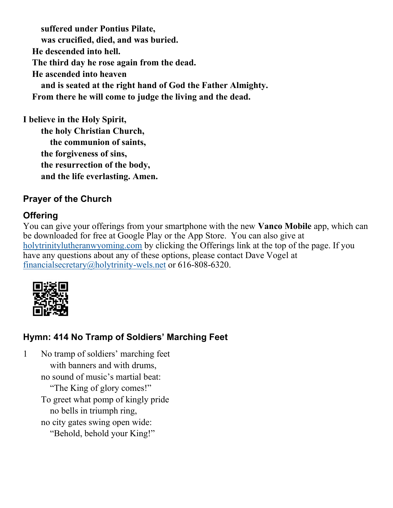**suffered under Pontius Pilate, was crucified, died, and was buried. He descended into hell. The third day he rose again from the dead. He ascended into heaven and is seated at the right hand of God the Father Almighty. From there he will come to judge the living and the dead.**

**I believe in the Holy Spirit, the holy Christian Church, the communion of saints, the forgiveness of sins, the resurrection of the body, and the life everlasting. Amen.**

# **Prayer of the Church**

## **Offering**

You can give your offerings from your smartphone with the new **Vanco Mobile** app, which can be downloaded for free at Google Play or the App Store. You can also give at [holytrinitylutheranwyoming.com](http://holytrinitylutheranwyoming.com/) by clicking the Offerings link at the top of the page. If you have any questions about any of these options, please contact Dave Vogel at [financialsecretary@holytrinity-wels.net](mailto:financialsecretary@holytrinity-wels.net) or 616-808-6320.



# **Hymn: 414 No Tramp of Soldiers' Marching Feet**

1 No tramp of soldiers' marching feet with banners and with drums, no sound of music's martial beat: "The King of glory comes!" To greet what pomp of kingly pride no bells in triumph ring, no city gates swing open wide: "Behold, behold your King!"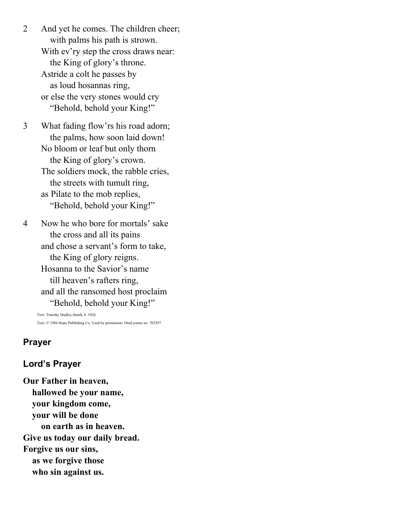2 And yet he comes. The children cheer; with palms his path is strown. With ev'ry step the cross draws near: the King of glory's throne. Astride a colt he passes by as loud hosannas ring, or else the very stones would cry "Behold, behold your King!"

3 What fading flow'rs his road adorn; the palms, how soon laid down! No bloom or leaf but only thorn the King of glory's crown. The soldiers mock, the rabble cries, the streets with tumult ring, as Pilate to the mob replies, "Behold, behold your King!"

4 Now he who bore for mortals' sake the cross and all its pains and chose a servant's form to take, the King of glory reigns. Hosanna to the Savior's name till heaven's rafters ring, and all the ransomed host proclaim "Behold, behold your King!"

Text: Timothy Dudley-Smith, b. 1926 Text: © 1984 Hope Publishing Co. Used by permission: OneLicense no. 703297

#### **Prayer**

#### **Lord's Prayer**

**Our Father in heaven, hallowed be your name, your kingdom come, your will be done on earth as in heaven. Give us today our daily bread. Forgive us our sins, as we forgive those who sin against us.**